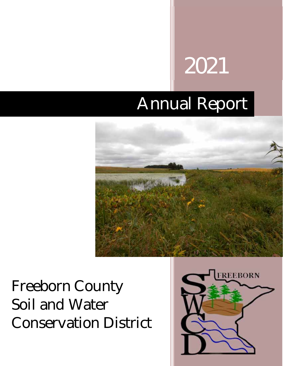# 2021

# Annual Report



# Freeborn County Soil and Water Conservation District

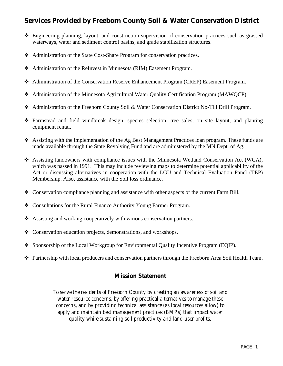### **Services Provided by Freeborn County Soil & Water Conservation District**

- Engineering planning, layout, and construction supervision of conservation practices such as grassed waterways, water and sediment control basins, and grade stabilization structures.
- Administration of the State Cost-Share Program for conservation practices.
- Administration of the ReInvest in Minnesota (RIM) Easement Program.
- Administration of the Conservation Reserve Enhancement Program (CREP) Easement Program.
- Administration of the Minnesota Agricultural Water Quality Certification Program (MAWQCP).
- Administration of the Freeborn County Soil & Water Conservation District No-Till Drill Program.
- Farmstead and field windbreak design, species selection, tree sales, on site layout, and planting equipment rental.
- Assisting with the implementation of the Ag Best Management Practices loan program. These funds are made available through the State Revolving Fund and are administered by the MN Dept. of Ag.
- Assisting landowners with compliance issues with the Minnesota Wetland Conservation Act (WCA), which was passed in 1991. This may include reviewing maps to determine potential applicability of the Act or discussing alternatives in cooperation with the LGU and Technical Evaluation Panel (TEP) Membership. Also, assistance with the Soil loss ordinance.
- $\div$  Conservation compliance planning and assistance with other aspects of the current Farm Bill.
- Consultations for the Rural Finance Authority Young Farmer Program.
- Assisting and working cooperatively with various conservation partners.
- Conservation education projects, demonstrations, and workshops.
- Sponsorship of the Local Workgroup for Environmental Quality Incentive Program (EQIP).
- Partnership with local producers and conservation partners through the Freeborn Area Soil Health Team.

#### **Mission Statement**

*To serve the residents of Freeborn County by creating an awareness of soil and water resource concerns, by offering practical alternatives to manage these concerns, and by providing technical assistance (as local resources allow) to apply and maintain best management practices (BMPs) that impact water quality while sustaining soil productivity and land-user profits.*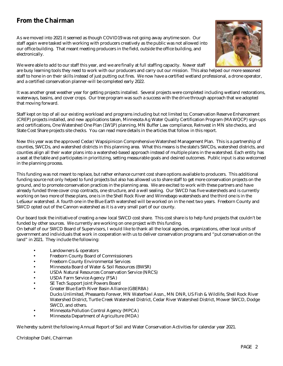#### **From the Chairman**

As we moved into 2021 it seemed as though COVID19 was not going away anytime soon. Our staff again were tasked with working with producers creatively as the public was not allowed into our office building. That meant meeting producers in the field, outside the office building, and electronically.



We were able to add to our staff this year, and we are finally at full staffing capacity. Newer staff are busy learning tools they need to work with our producers and carry out our mission. This also helped our more seasoned staff to hone in on their skills instead of just putting out fires. We now have a certified wetland professional, a drone operator, and a certified conservation planner-will be completed early 2022.

It was another great weather year for getting projects installed. Several projects were completed including wetland restorations, waterways, basins, and cover crops. Our tree program was such a success with the drive through approach that we adopted that moving forward.

Staff kept on top of all our existing workload and programs including but not limited to; Conservation Reserve Enhancement (CREP) projects installed, and new applications taken, Minnesota Ag Water Quality Certification Program (MAWQCP) sign-ups and certifications, One Watershed One Plan (1W1P) planning, MN Buffer Law compliance, ReInvest in MN site checks, and State Cost Share projects site checks. You can read more details in the articles that follow in this report.

New this year was the approved Cedar/Wapsipinicon Comprehensive Watershed Management Plan. This is a partnership of counties, SWCDs, and watershed districts in this planning area. What this means is the state's SWCDs, watershed districts, and counties align all their water plans into a watershed-based approach instead of multiple plans in the watershed. Each entity has a seat at the table and participates in prioritizing, setting measurable goals and desired outcomes. Public input is also welcomed in the planning process.

This funding was not meant to replace, but rather enhance current cost share options available to producers. This additional funding source not only helped to fund projects but also has allowed us to share staff to get more conservation projects on the ground, and to promote conservation practices in the planning area. We are excited to work with these partners and have already funded three cover crop contracts, one structure, and a well sealing. Our SWCD has five watersheds and is currently working on two more of these plans, one is in the Shell Rock River and Winnebago watersheds and the third one is in the LeSueur watershed. A fourth one in the Blue Earth watershed will be worked on in the next two years. Freeborn County and SWCD opted out of the Cannon watershed as it is a very small part of our county.

Our board took the initiative of creating a new local SWCD cost share. This cost share is to help fund projects that couldn't be funded by other sources. We currently are working on one project with this funding.

On behalf of our SWCD Board of Supervisors, I would like to thank all the local agencies, organizations, other local units of government and individuals that work in cooperation with us to deliver conservation programs and "put conservation on the land" in 2021. They include the following:

- Landowners & operators
- Freeborn County Board of Commissioners
- Freeborn County Environmental Services
- Minnesota Board of Water & Soil Resources (BWSR)
- USDA Natural Resources Conservation Service (NRCS)
- USDA Farm Service Agency (FSA)
- SE Tech Support Joint Powers Board
- Greater Blue Earth River Basin Alliance (GBERBA)
- Ducks Unlimited, Pheasants Forever, MN Waterfowl Assn., MN DNR, US Fish & Wildlife, Shell Rock River Watershed District, Turtle Creek Watershed District, Cedar River Watershed District, Mower SWCD, Dodge SWCD, and others.
- Minnesota Pollution Control Agency (MPCA)
- Minnesota Department of Agriculture (MDA)

We hereby submit the following Annual Report of Soil and Water Conservation Activities for calendar year 2021.

Christopher Dahl, Chairman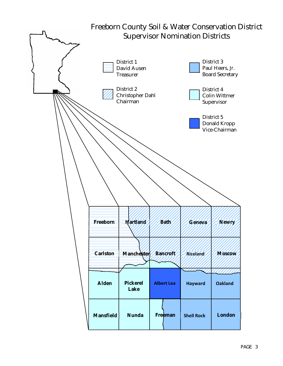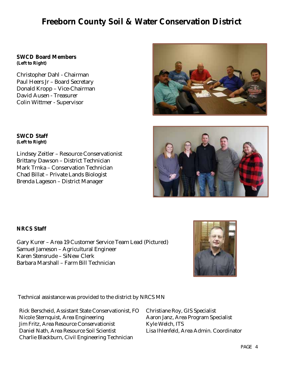# **Freeborn County Soil & Water Conservation District**

#### **SWCD Board Members (Left to Right)**

Christopher Dahl - Chairman Paul Heers Jr – Board Secretary Donald Kropp – Vice-Chairman David Ausen - Treasurer Colin Wittmer - Supervisor

#### **SWCD Staff (Left to Right)**

Lindsey Zeitler – Resource Conservationist Brittany Dawson – District Technician Mark Trnka – Conservation Technician Chad Billat – Private Lands Biologist Brenda Lageson – District Manager

#### **NRCS Staff**

Gary Kurer – Area 19 Customer Service Team Lead (Pictured) Samuel Jameson – Agricultural Engineer Karen Stensrude – SiNew Clerk Barbara Marshall – Farm Bill Technician

Technical assistance was provided to the district by NRCS MN

Rick Berscheid, Assistant State Conservationist, FO Christiane Roy, GIS Specialist Nicole Sternquist, Area Engineering Aaron Janz, Area Program Specialist Jim Fritz, Area Resource Conservationist Kyle Welch, ITS Daniel Nath, Area Resource Soil Scientist Lisa Ihlenfeld, Area Admin. Coordinator Charlie Blackburn, Civil Engineering Technician





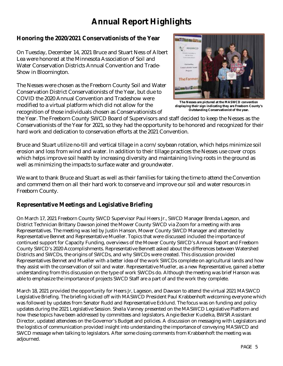# **Annual Report Highlights**

#### **Honoring the 2020/2021 Conservationists of the Year**

On Tuesday, December 14, 2021 Bruce and Stuart Ness of Albert Lea were honored at the Minnesota Association of Soil and Water Conservation Districts Annual Convention and Trade-Show in Bloomington.

The Nesses were chosen as the Freeborn County Soil and Water Conservation District Conservationists of the Year, but due to COVID the 2020 Annual Convention and Tradeshow were modified to a virtual platform which did not allow for the recognition of those individuals chosen as Conservationists of



**The Nesses are pictured at the MASWCD convention displaying their sign indicating they are Freeborn County's Outstanding Conservationist of the year.** 

the Year. The Freeborn County SWCD Board of Supervisors and staff decided to keep the Nesses as the Conservationists of the Year for 2021, so they had the opportunity to be honored and recognized for their hard work and dedication to conservation efforts at the 2021 Convention.

Bruce and Stuart utilize no-till and vertical tillage in a corn/soybean rotation, which helps minimize soil erosion and loss from wind and water. In addition to their tillage practices the Nesses use cover crops which helps improve soil health by increasing diversity and maintaining living roots in the ground as well as minimizing the impacts to surface water and groundwater.

We want to thank Bruce and Stuart as well as their families for taking the time to attend the Convention and commend them on all their hard work to conserve and improve our soil and water resources in Freeborn County.

#### **Representative Meetings and Legislative Briefing**

On March 17, 2021 Freeborn County SWCD Supervisor Paul Heers Jr., SWCD Manager Brenda Lageson, and District Technician Brittany Dawson joined the Mower County SWCD via Zoom for a meeting with area Representatives. The meeting was led by Justin Hanson, Mower County SWCD Manager and attended by Representative Bennet and Representative Mueller. Topics that were discussed included the importance of continued support for Capacity Funding, overviews of the Mower County SWCD's Annual Report and Freeborn County SWCD's 2020 Accomplishments. Representative Bennett asked about the differences between Watershed Districts and SWCDs, the origins of SWCDs, and why SWCDs were created. This discussion provided Representatives Bennet and Mueller with a better idea of the work SWCDs complete on agricultural lands and how they assist with the conservation of soil and water. Representative Mueller, as a new Representative, gained a better understanding from this discussion on the type of work SWCDs do. Although the meeting was brief Hanson was able to emphasize the importance of projects SWCD Staff are a part of and the work they complete.

March 18, 2021 provided the opportunity for Heers Jr, Lageson, and Dawson to attend the virtual 2021 MASWCD Legislative Briefing. The briefing kicked off with MASWCD President Paul Krabbenhoft welcoming everyone which was followed by updates from Senator Rudd and Representative Ecklund. The focus was on funding and policy updates during the 2021 Legislative Session. Sheila Vanney presented on the MASWCD Legislative Platform and how these topics have been addressed by committees and legislators. Angie Becker Kudelka, BWSR Assistant Director, updated attendees on the Governor's Budget and policies. A discussion on messaging with Legislators and the logistics of communication provided insight into understanding the importance of conveying MASWCD and SWCD message when talking to legislators. After some closing comments from Krabbenhoft the meeting was adjourned.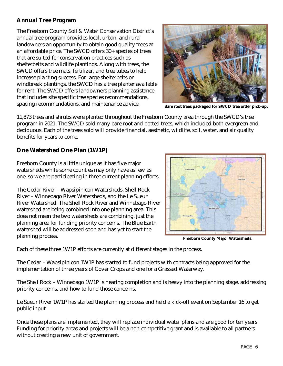#### **Annual Tree Program**

The Freeborn County Soil & Water Conservation District's annual tree program provides local, urban, and rural landowners an opportunity to obtain good quality trees at an affordable price. The SWCD offers 30+ species of trees that are suited for conservation practices such as shelterbelts and wildlife plantings. Along with trees, the SWCD offers tree mats, fertilizer, and tree tubes to help increase planting success. For large shelterbelts or windbreak plantings, the SWCD has a tree planter available for rent. The SWCD offers landowners planning assistance that includes site specific tree species recommendations, spacing recommendations, and maintenance advice.



**Bare root trees packaged for SWCD tree order pick-up.** 

11,873 trees and shrubs were planted throughout the Freeborn County area through the SWCD's tree program in 2021. The SWCD sold many bare root and potted trees, which included both evergreen and deciduous. Each of the trees sold will provide financial, aesthetic, wildlife, soil, water, and air quality benefits for years to come.

#### **One Watershed One Plan (1W1P)**

Freeborn County is a little unique as it has five major watersheds while some counties may only have as few as one, so we are participating in three current planning efforts.

The Cedar River – Wapsipinicon Watersheds, Shell Rock River – Winnebago River Watersheds, and the Le Sueur River Watershed. The Shell Rock River and Winnebago River watershed are being combined into one planning area. This does not mean the two watersheds are combining, just the planning area for funding priority concerns. The Blue Earth watershed will be addressed soon and has yet to start the planning process.



**Freeborn County Major Watersheds.** 

Each of these three 1W1P efforts are currently at different stages in the process.

The Cedar – Wapsipinicon 1W1P has started to fund projects with contracts being approved for the implementation of three years of Cover Crops and one for a Grassed Waterway.

The Shell Rock – Winnebago 1W1P is nearing completion and is heavy into the planning stage, addressing priority concerns, and how to fund those concerns.

Le Sueur River 1W1P has started the planning process and held a kick-off event on September 16 to get public input.

Once these plans are implemented, they will replace individual water plans and are good for ten years. Funding for priority areas and projects will be a non-competitive grant and is available to all partners without creating a new unit of government.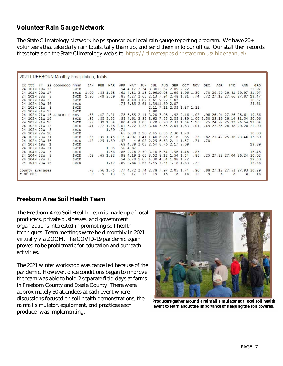#### **Volunteer Rain Gauge Network**

The State Climatology Network helps sponsor our local rain gauge reporting program. We have 20+ volunteers that take daily rain totals, tally them up, and send them in to our office. Our staff then records these totals on the State Climatology web site. https://climateapps.dnr.state.mn.us/hidenannual/

| 2021 FREEBORN Monthly Precipitation, Totals  |                          |            |                          |                                                                              |                    |                                 |
|----------------------------------------------|--------------------------|------------|--------------------------|------------------------------------------------------------------------------|--------------------|---------------------------------|
| CC ttt<br>55 00000000<br>rr.<br>nnnn         | <b>FEB</b><br><b>JAN</b> | <b>MAR</b> | APR<br>MAY<br><b>JUN</b> | <b>AUG</b><br>JUL<br><b>SEP</b><br><b>OCT</b><br><b>NOV</b>                  | <b>DEC</b><br>AGR. | GRO<br><b>HYD</b><br><b>ANN</b> |
| 24 101N 19W 35<br><b>SWCD</b>                |                          |            |                          | .54 4.17 2.74 3.3013.67 2.09 2.22                                            |                    | 25.97                           |
| 24 101N 20W 17<br><b>SWCD</b>                | 1.00                     | .851.68    |                          | $.61$ 4.81 2.18 2.9610.03 1.99 1.96 1.20                                     |                    | .70 29.20 29.51 29.97 21.97     |
| 24 101N 23W<br>- 8<br><b>SWCD</b>            | 1.20                     | .492.59    |                          | .85 4.27 2.65 2.13 7.94 2.48 1.81                                            |                    | .74 .72 27.12 27.66 27.87 19.47 |
| 24 102N 19W 25<br><b>SWCD</b>                |                          |            |                          | .80 4.40 3.02 1.61 9.72 1.82                                                 |                    | 20.57                           |
| 24 102N 19W 36<br><b>SWCD</b>                |                          |            |                          | .75 5.85 2.61 1.3911.69 2.07                                                 |                    | 23.61                           |
| 24 102N 21W 8<br><b>SWCD</b>                 |                          |            |                          | 2.11 7.11 2.33 1.37 1.22                                                     |                    |                                 |
| 24 102N 21W 13<br><b>SWCD</b>                |                          |            |                          | 1.90                                                                         |                    |                                 |
| 24 102N 21W 16 ALBERT L<br><b>NWS</b>        | .68                      |            |                          | .47 2.31 .78 5.55 2.11 3.20 7.08 1.92 2.46 1.07                              |                    | .98 26.94 27.26 28.61 19.86     |
| 24 102N 21W 16<br><b>SWCD</b>                | .85                      | .832.62    |                          | .83 4.61 2.85 3.62 7.55 2.33 1.89 1.06                                       |                    | 2.50 28.19 29.14 31.54 20.96    |
| 24 102N 21W 16<br><b>SWCD</b>                | .72                      | .391.34    |                          | .80 4.28 3.05 3.20 6.98 2.33 1.54 1.16                                       |                    | .75 24.92 25.92 26.54 19.84     |
| 24 102N 21W 17<br><b>SWCD</b>                | .41                      |            |                          | .77 1.78 1.01 5.22 3.28 3.40 7.55 2.45 1.83 1.01 .49 27.85 28.38 29.20 21.90 |                    |                                 |
| 24 102N 22W<br><b>SWCD</b>                   |                          | 1.79 .71   |                          |                                                                              |                    |                                 |
| 24 102N 22W 10<br><b>SWCD</b>                |                          |            |                          | .65 6.30 2.10 2.45 6.85 2.30 1.70                                            |                    | 20.00                           |
| 24 102N 23W 31<br><b>SWCD</b>                | .65                      |            |                          | .35 1.45 1.19 4.07 3.41 1.40 6.85 2.16 .85                                   |                    | .26 .82 25.47 25.36 23.46 17.89 |
| 24 102N 23W 36<br><b>SWCD</b>                | .43                      | .251.89    | ×<br>.57                 | 6.03 2.25 6.63 2.11 1.57                                                     | $.71 \t .70$       |                                 |
| 24 103N 19W<br>$\blacksquare$<br><b>SWCD</b> |                          |            |                          | .69 4.39 2.03 2.54 8.76 2.17 2.09                                            |                    | 19.89                           |
| 24 103N 19W 21<br>SWCD                       |                          |            | 1.05 .58 4.87            |                                                                              |                    |                                 |
| 24 104N 22W<br><b>SWCD</b>                   |                          | 1.56       |                          | .86 2.78 2.50 3.10 6.54 1.56 1.48<br>.85                                     |                    | 16.48                           |
| 24 104N 22W<br>- 9<br><b>SWCD</b>            | .63                      | $.65$ 1.32 |                          | .98 4.19 2.65 3.52 8.12 1.54 1.54                                            |                    | .85 .25 27.23 27.04 26.24 20.02 |
| 24 104N 22W 35<br><b>SWCD</b>                |                          |            |                          | .54 6.70 1.68 4.30 4.84 1.98 1.72                                            |                    | 19.50                           |
| 24 104N 23W 36<br><b>SWCD</b>                |                          | 1.42       |                          | .89 3.86 1.65 4.45 5.54 1.18 1.83<br>.72                                     |                    | 16.68                           |
| county averages                              | $.73$ $.56$ 1.75         |            |                          | .77 4.72 2.74 2.78 7.97 2.05 1.74                                            | .90                | .88 27.12 27.53 27.93 20.29     |
| $#$ of obs                                   | 9                        | 9<br>13    | 17<br>19<br>17           | 19<br>18<br>18<br>16                                                         | 12<br>9<br>8       | 8<br>8<br>16                    |

#### **Freeborn Area Soil Health Team**

The Freeborn Area Soil Health Team is made up of local producers, private businesses, and government organizations interested in promoting soil health techniques. Team meetings were held monthly in 2021 virtually via ZOOM. The COVID-19 pandemic again proved to be problematic for education and outreach activities.

The 2021 winter workshop was cancelled because of the pandemic. However, once conditions began to improve the team was able to hold 2 separate field days at farms in Freeborn County and Steele County. There were approximately 30 attendees at each event where discussions focused on soil health demonstrations, the rainfall simulator, equipment, and practices each producer was implementing.



**Producers gather around a rainfall simulator at a local soil health event to learn about the importance of keeping the soil covered.**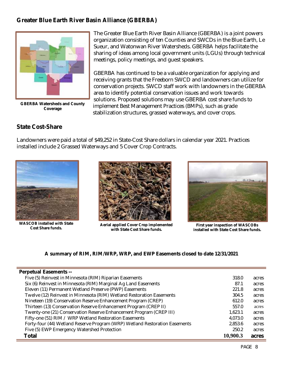#### **Greater Blue Earth River Basin Alliance (GBERBA)**



**GBERBA Watersheds and County Coverage** 

The Greater Blue Earth River Basin Alliance (GBERBA) is a joint powers organization consisting of ten Counties and SWCDs in the Blue Earth, Le Sueur, and Watonwan River Watersheds. GBERBA helps facilitate the sharing of ideas among local government units (LGUs) through technical meetings, policy meetings, and guest speakers.

GBERBA has continued to be a valuable organization for applying and receiving grants that the Freeborn SWCD and landowners can utilize for conservation projects. SWCD staff work with landowners in the GBERBA area to identify potential conservation issues and work towards solutions. Proposed solutions may use GBERBA cost share funds to implement Best Management Practices (BMPs), such as grade stabilization structures, grassed waterways, and cover crops.

#### **State Cost-Share**

Landowners were paid a total of \$49,252 in State-Cost Share dollars in calendar year 2021. Practices installed include 2 Grassed Waterways and 5 Cover Crop Contracts.



**WASCOB installed with State** 



**Cost Share funds. Aerial applied Cover Crop implemented with State Cost Share funds.** 



**First year inspection of WASCOBs installed with State Cost Share funds.** 

#### **A summary of RIM, RIM/WRP, WRP, and EWP Easements closed to date 12/31/2021**

| <b>Perpetual Easements --</b>                                               |          |       |
|-----------------------------------------------------------------------------|----------|-------|
| Five (5) Reinvest in Minnesota (RIM) Riparian Easements                     | 318.0    | acres |
| Six (6) Reinvest in Minnesota (RIM) Marginal Ag Land Easements              | 87.1     | acres |
| Eleven (11) Permanent Wetland Preserve (PWP) Easements                      | 221.8    | acres |
| Twelve (12) Reinvest in Minnesota (RIM) Wetland Restoration Easements       | 304.5    | acres |
| Nineteen (19) Conservation Reserve Enhancement Program (CREP)               | 612.0    | acres |
| Thirteen (13) Conservation Reserve Enhancement Program (CREP II)            | 557.0    | acres |
| Twenty-one (21) Conservation Reserve Enhancement Program (CREP III)         | 1,623.1  | acres |
| Fifty-one (51) RIM / WRP Wetland Restoration Easements                      | 4,073.0  | acres |
| Forty-four (44) Wetland Reserve Program (WRP) Wetland Restoration Easements | 2,853.6  | acres |
| Five (5) EWP Emergency Watershed Protection                                 | 250.2    | acres |
| <b>Total</b>                                                                | 10,900.3 | acres |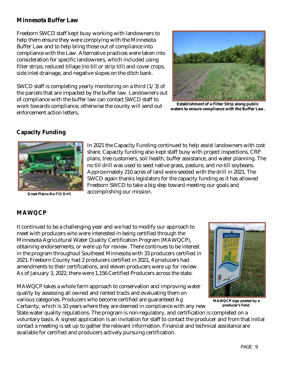#### **Minnesota Buffer Law**

Freeborn SWCD staff kept busy working with landowners to help them ensure they were complying with the Minnesota Buffer Law and to help bring those out of compliance into compliance with the Law. Alternative practices were taken into consideration for specific landowners, which included using filter strips, reduced tillage (no till or strip till) and cover crops, side inlet drainage, and negative slopes on the ditch bank.

SWCD staff is completing yearly monitoring on a third  $(1/3)$  of the parcels that are impacted by the buffer law. Landowners out of compliance with the buffer law can contact SWCD staff to work towards compliance, otherwise the county will send out enforcement action letters.



**Establishment of a Filter Strip along public waters to ensure compliance with the Buffer Law.** 

#### **Capacity Funding**



**Great Plains No-Till Drill** 

In 2021 the Capacity Funding continued to help assist landowners with cost share. Capacity funding also kept staff busy with project inspections, CRP plans, tree customers, soil health, buffer assistance, and water planning. The no till drill was used to seed native grass, pasture, and no-till soybeans. Approximately 210 acres of land were seeded with the drill in 2021. The SWCD again thanks legislators for the capacity funding as it has allowed Freeborn SWCD to take a big step toward meeting our goals and accomplishing our mission.

#### **MAWQCP**

It continued to be a challenging year and we had to modify our approach to meet with producers who were interested in being certified through the Minnesota Agricultural Water Quality Certification Program (MAWQCP), obtaining endorsements, or were up for review. There continues to be interest in the program throughout Southeast Minnesota with 33 producers certified in 2021. Freeborn County had 2 producers certified in 2021, 4 producers had amendments to their certifications, and eleven producers were up for review. As of January 3, 2022, there were 1,156 Certified Producers across the state.

MAWQCP takes a whole farm approach to conservation and improving water quality by assessing all owned and rented tracts and evaluating them on various categories. Producers who become certified are guaranteed Ag

Certainty, which is 10 years where they are deemed in compliance with any new



**MAWQCP sign posted by a producer's field.** 

State water quality regulations. The program is non-regulatory, and certification is completed on a voluntary basis. A signed application is an invitation for staff to contact the producer and from that initial contact a meeting is set up to gather the relevant information. Financial and technical assistance are available for certified and producers actively pursuing certification.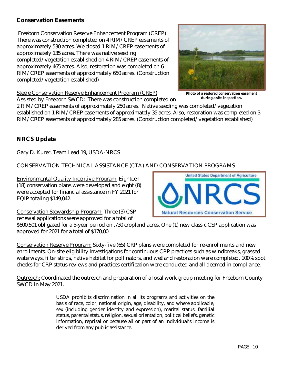#### **Conservation Easements**

 Freeborn Conservation Reserve Enhancement Program (CREP): There was construction completed on 4 RIM/CREP easements of approximately 530 acres. We closed 1 RIM/CREP easements of approximately 135 acres. There was native seeding completed/vegetation established on 4 RIM/CREP easements of approximately 465 acres. Also, restoration was completed on 6 RIM/CREP easements of approximately 650 acres. (Construction completed/vegetation established)



Steele Conservation Reserve Enhancement Program (CREP)

Assisted by Freeborn SWCD: There was construction completed on

**Photo of a restored conservation easement during a site inspection.** 

2 RIM/CREP easements of approximately 250 acres. Native seeding was completed/vegetation established on 1 RIM/CREP easements of approximately 35 acres. Also, restoration was completed on 3 RIM/CREP easements of approximately 285 acres. (Construction completed/vegetation established)

#### **NRCS Update**

Gary D. Kurer, Team Lead 19, USDA-NRCS

CONSERVATION TECHNICAL ASSISTANCE (CTA) AND CONSERVATION PROGRAMS

Environmental Quality Incentive Program: Eighteen (18) conservation plans were developed and eight (8) were accepted for financial assistance in FY 2021 for EQIP totaling \$149,042.

Conservation Stewardship Program: Three (3) CSP renewal applications were approved for a total of

\$600,501 obligated for a 5-year period on ,730 cropland acres. One (1) new classic CSP application was approved for 2021 for a total of \$170,00.

Conservation Reserve Program: Sixty-five (65) CRP plans were completed for re-enrollments and new enrollments. On-site eligibility investigations for continuous CRP practices such as windbreaks, grassed waterways, filter stirps, native habitat for pollinators, and wetland restoration were completed. 100% spot checks for CRP status reviews and practices certification were conducted and all deemed in compliance.

Outreach: Coordinated the outreach and preparation of a local work group meeting for Freeborn County SWCD in May 2021.

> USDA prohibits discrimination in all its programs and activities on the basis of race, color, national origin, age, disability, and where applicable, sex (including gender identity and expression), marital status, familial status, parental status, religion, sexual orientation, political beliefs, genetic information, reprisal or because all or part of an individual's income is derived from any public assistance.

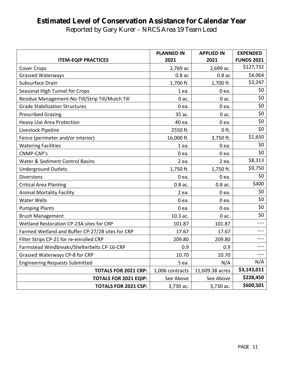# **Estimated Level of Conservation Assistance for Calendar Year**

Reported by Gary Kurer – NRCS Area 19 Team Lead

|                                                  | <b>PLANNED IN</b> | <b>APPLIED IN</b> | <b>EXPENDED</b>   |
|--------------------------------------------------|-------------------|-------------------|-------------------|
| <b>ITEM-EQIP PRACTICES</b>                       | 2021              | 2021              | <b>FUNDS 2021</b> |
| <b>Cover Crops</b>                               | 2,769 ac          | 2,699 ac.         | \$127,732         |
| <b>Grassed Waterways</b>                         | $0.8$ ac          | $0.8$ ac          | \$4,064           |
| Subsurface Drain                                 | 1,700 ft.         | 1,700 ft.         | \$3,247           |
| Seasonal High Tunnel for Crops                   | 1 ea.             | 0 ea.             | \$0               |
| Residue Management-No-Till/Strip Till/Mulch Till | $0$ ac.           | $0$ ac.           | \$0               |
| <b>Grade Stabilization Structures</b>            | 0 ea.             | 0 ea.             | \$0               |
| <b>Prescribed Grazing</b>                        | 35 ac.            | $0$ ac.           | \$0               |
| <b>Heavy Use Area Protection</b>                 | 40 ea.            | 0 ea.             | \$0               |
| Livestock Pipeline                               | 2550 ft.          | $0$ ft.           | \$0               |
| Fence (perimeter and/or interior)                | 16,000 ft.        | 3,750 ft.         | \$1,650           |
| <b>Watering Facilities</b>                       | 1 ea.             | 0 ea.             | \$0               |
| CNMP-CAP's                                       | 0 ea.             | 0 ea.             | \$0               |
| Water & Sediment Control Basins                  | 2 ea.             | 2 ea.             | \$8,313           |
| <b>Underground Outlets</b>                       | 1,750 ft.         | 1,750 ft.         | \$9,750           |
| <b>Diversions</b>                                | 0 ea.             | 0 ea.             | \$0               |
| <b>Critical Area Planting</b>                    | 0.8 ac.           | $0.8$ ac.         | \$400             |
| <b>Animal Mortality Facility</b>                 | 2 ea.             | 0 ea.             | \$0               |
| <b>Water Wells</b>                               | 0 ea.             | 0 ea.             | \$0               |
| <b>Pumping Plants</b>                            | 0 ea.             | 0 ea.             | \$0               |
| <b>Brush Management</b>                          | 10.3 ac.          | $0$ ac.           | \$0               |
| Wetland Restoration CP-23A sites for CRP         | 101.87            | 101.87            | ----              |
| Farmed Wetland and Buffer CP-27/28 sites for CRP | 17.67             | 17.67             | $--- -$           |
| Filter Strips CP-21 for re-enrolled CRP          | 209.80            | 209.80            |                   |
| Farmstead Windbreaks/Shelterbelts CP-16-CRP      | 0.9               | 0.9               |                   |
| Grassed Waterways CP-8 for CRP                   | 10.70             | 10.70             | ----              |
| <b>Engineering Requests Submitted</b>            | 5 ea.             | N/A               | N/A               |
| <b>TOTALS FOR 2021 CRP:</b>                      | 1,006 contracts   | 11,609.38 acres   | \$3,143,011       |
| <b>TOTALS FOR 2021 EQIP:</b>                     | See Above         | See Above         | \$228,450         |
| <b>TOTALS FOR 2021 CSP:</b>                      | 3,730 ac.         | 3,730 ac.         | \$600,501         |